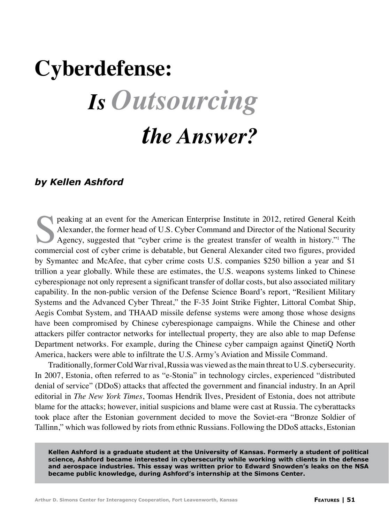## **Cyberdefense:** *Is Outsourcing the Answer?*

## *by Kellen Ashford*

peaking at an event for the American Enterprise Institute in 2012, retired General Keith<br>Alexander, the former head of U.S. Cyber Command and Director of the National Security<br>Agency, suggested that "cyber crime is the gre Alexander, the former head of U.S. Cyber Command and Director of the National Security Agency, suggested that "cyber crime is the greatest transfer of wealth in history."1 The commercial cost of cyber crime is debatable, but General Alexander cited two figures, provided by Symantec and McAfee, that cyber crime costs U.S. companies \$250 billion a year and \$1 trillion a year globally. While these are estimates, the U.S. weapons systems linked to Chinese cyberespionage not only represent a significant transfer of dollar costs, but also associated military capability. In the non-public version of the Defense Science Board's report, "Resilient Military Systems and the Advanced Cyber Threat," the F-35 Joint Strike Fighter, Littoral Combat Ship, Aegis Combat System, and THAAD missile defense systems were among those whose designs have been compromised by Chinese cyberespionage campaigns. While the Chinese and other attackers pilfer contractor networks for intellectual property, they are also able to map Defense Department networks. For example, during the Chinese cyber campaign against QinetiQ North America, hackers were able to infiltrate the U.S. Army's Aviation and Missile Command.

Traditionally, former Cold War rival, Russia was viewed as the main threat to U.S. cybersecurity. In 2007, Estonia, often referred to as "e-Stonia" in technology circles, experienced "distributed denial of service" (DDoS) attacks that affected the government and financial industry. In an April editorial in *The New York Times*, Toomas Hendrik Ilves, President of Estonia, does not attribute blame for the attacks; however, initial suspicions and blame were cast at Russia. The cyberattacks took place after the Estonian government decided to move the Soviet-era "Bronze Soldier of Tallinn," which was followed by riots from ethnic Russians. Following the DDoS attacks, Estonian

**Kellen Ashford is a graduate student at the University of Kansas. Formerly a student of political science, Ashford became interested in cybersecurity while working with clients in the defense and aerospace industries. This essay was written prior to Edward Snowden's leaks on the NSA became public knowledge, during Ashford's internship at the Simons Center.**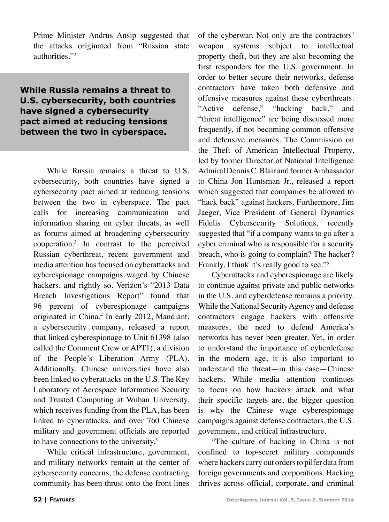Prime Minister Andrus Ansip suggested that the attacks originated from "Russian state authorities."2

**While Russia remains a threat to U.S. cybersecurity, both countries have signed a cybersecurity pact aimed at reducing tensions between the two in cyberspace.**

While Russia remains a threat to U.S. cybersecurity, both countries have signed a cybersecurity pact aimed at reducing tensions between the two in cyberspace. The pact calls for increasing communication and information sharing on cyber threats, as well as forums aimed at broadening cybersecurity cooperation.3 In contrast to the perceived Russian cyberthreat, recent government and media attention has focused on cyberattacks and cyberespionage campaigns waged by Chinese hackers, and rightly so. Verizon's "2013 Data Breach Investigations Report" found that 96 percent of cyberespionage campaigns originated in China.<sup>4</sup> In early 2012, Mandiant, a cybersecurity company, released a report that linked cyberespionage to Unit 61398 (also called the Comment Crew or APT1), a division of the People's Liberation Army (PLA). Additionally, Chinese universities have also been linked to cyberattacks on the U.S. The Key Laboratory of Aerospace Information Security and Trusted Computing at Wuhan University, which receives funding from the PLA, has been linked to cyberattacks, and over 760 Chinese military and government officials are reported to have connections to the university.<sup>5</sup>

While critical infrastructure, government, and military networks remain at the center of cybersecurity concerns, the defense contracting community has been thrust onto the front lines

of the cyberwar. Not only are the contractors' weapon systems subject to intellectual property theft, but they are also becoming the first responders for the U.S. government. In order to better secure their networks, defense contractors have taken both defensive and offensive measures against these cyberthreats. "Active defense," "hacking back," and "threat intelligence" are being discussed more frequently, if not becoming common offensive and defensive measures. The Commission on the Theft of American Intellectual Property, led by former Director of National Intelligence Admiral Dennis C. Blair and former Ambassador to China Jon Huntsman Jr., released a report which suggested that companies be allowed to "hack back" against hackers. Furthermore, Jim Jaeger, Vice President of General Dynamics Fidelis Cybersecurity Solutions, recently suggested that "if a company wants to go after a cyber criminal who is responsible for a security breach, who is going to complain? The hacker? Frankly, I think it's really good to see."<sup>6</sup>

Cyberattacks and cyberespionage are likely to continue against private and public networks in the U.S. and cyberdefense remains a priority. While the National Security Agency and defense contractors engage hackers with offensive measures, the need to defend America's networks has never been greater. Yet, in order to understand the importance of cyberdefense in the modern age, it is also important to understand the threat—in this case—Chinese hackers. While media attention continues to focus on how hackers attack and what their specific targets are, the bigger question is why the Chinese wage cyberespionage campaigns against defense contractors, the U.S. government, and critical infrastructure.

"The culture of hacking in China is not confined to top-secret military compounds where hackers carry out orders to pilfer data from foreign governments and corporations. Hacking thrives across official, corporate, and criminal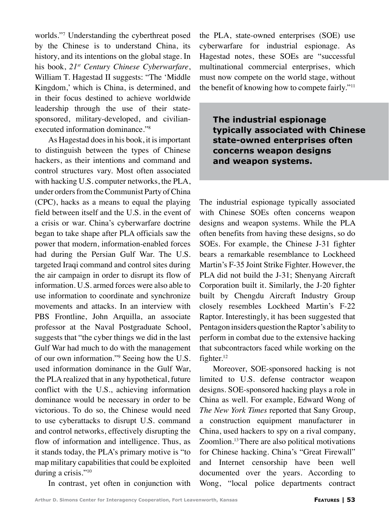worlds."7 Understanding the cyberthreat posed by the Chinese is to understand China, its history, and its intentions on the global stage. In his book, *21st Century Chinese Cyberwarfare*, William T. Hagestad II suggests: "The 'Middle Kingdom,' which is China, is determined, and in their focus destined to achieve worldwide leadership through the use of their statesponsored, military-developed, and civilianexecuted information dominance."8

As Hagestad does in his book, it is important to distinguish between the types of Chinese hackers, as their intentions and command and control structures vary. Most often associated with hacking U.S. computer networks, the PLA, under orders from the Communist Party of China (CPC), hacks as a means to equal the playing field between itself and the U.S. in the event of a crisis or war. China's cyberwarfare doctrine began to take shape after PLA officials saw the power that modern, information-enabled forces had during the Persian Gulf War. The U.S. targeted Iraqi command and control sites during the air campaign in order to disrupt its flow of information. U.S. armed forces were also able to use information to coordinate and synchronize movements and attacks. In an interview with PBS Frontline, John Arquilla, an associate professor at the Naval Postgraduate School, suggests that "the cyber things we did in the last Gulf War had much to do with the management of our own information."9 Seeing how the U.S. used information dominance in the Gulf War, the PLA realized that in any hypothetical, future conflict with the U.S., achieving information dominance would be necessary in order to be victorious. To do so, the Chinese would need to use cyberattacks to disrupt U.S. command and control networks, effectively disrupting the flow of information and intelligence. Thus, as it stands today, the PLA's primary motive is "to map military capabilities that could be exploited during a crisis."<sup>10</sup>

the PLA, state-owned enterprises (SOE) use cyberwarfare for industrial espionage. As Hagestad notes, these SOEs are "successful multinational commercial enterprises, which must now compete on the world stage, without the benefit of knowing how to compete fairly."11

**The industrial espionage typically associated with Chinese state-owned enterprises often concerns weapon designs and weapon systems.**

The industrial espionage typically associated with Chinese SOEs often concerns weapon designs and weapon systems. While the PLA often benefits from having these designs, so do SOEs. For example, the Chinese J-31 fighter bears a remarkable resemblance to Lockheed Martin's F-35 Joint Strike Fighter. However, the PLA did not build the J-31; Shenyang Aircraft Corporation built it. Similarly, the J-20 fighter built by Chengdu Aircraft Industry Group closely resembles Lockheed Martin's F-22 Raptor. Interestingly, it has been suggested that Pentagon insiders question the Raptor's ability to perform in combat due to the extensive hacking that subcontractors faced while working on the fighter.<sup>12</sup>

Moreover, SOE-sponsored hacking is not limited to U.S. defense contractor weapon designs. SOE-sponsored hacking plays a role in China as well. For example, Edward Wong of *The New York Times* reported that Sany Group, a construction equipment manufacturer in China, used hackers to spy on a rival company, Zoomlion.13 There are also political motivations for Chinese hacking. China's "Great Firewall" and Internet censorship have been well documented over the years. According to Wong, "local police departments contract

In contrast, yet often in conjunction with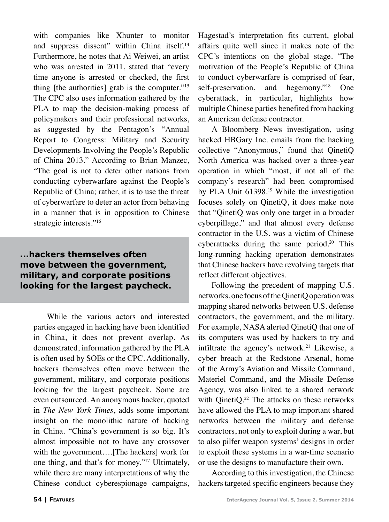with companies like Xhunter to monitor and suppress dissent" within China itself.<sup>14</sup> Furthermore, he notes that Ai Weiwei, an artist who was arrested in 2011, stated that "every time anyone is arrested or checked, the first thing [the authorities] grab is the computer."15 The CPC also uses information gathered by the PLA to map the decision-making process of policymakers and their professional networks, as suggested by the Pentagon's "Annual Report to Congress: Military and Security Developments Involving the People's Republic of China 2013." According to Brian Manzec, "The goal is not to deter other nations from conducting cyberwarfare against the People's Republic of China; rather, it is to use the threat of cyberwarfare to deter an actor from behaving in a manner that is in opposition to Chinese strategic interests."<sup>16</sup>

## **...hackers themselves often move between the government, military, and corporate positions looking for the largest paycheck.**

While the various actors and interested parties engaged in hacking have been identified in China, it does not prevent overlap. As demonstrated, information gathered by the PLA is often used by SOEs or the CPC. Additionally, hackers themselves often move between the government, military, and corporate positions looking for the largest paycheck. Some are even outsourced. An anonymous hacker, quoted in *The New York Times*, adds some important insight on the monolithic nature of hacking in China. "China's government is so big. It's almost impossible not to have any crossover with the government….[The hackers] work for one thing, and that's for money."17 Ultimately, while there are many interpretations of why the Chinese conduct cyberespionage campaigns, Hagestad's interpretation fits current, global affairs quite well since it makes note of the CPC's intentions on the global stage. "The motivation of the People's Republic of China to conduct cyberwarfare is comprised of fear, self-preservation, and hegemony."<sup>18</sup> One cyberattack, in particular, highlights how multiple Chinese parties benefited from hacking an American defense contractor.

A Bloomberg News investigation, using hacked HBGary Inc. emails from the hacking collective "Anonymous," found that QinetiQ North America was hacked over a three-year operation in which "most, if not all of the company's research" had been compromised by PLA Unit 61398.<sup>19</sup> While the investigation focuses solely on QinetiQ, it does make note that "QinetiQ was only one target in a broader cyberpillage," and that almost every defense contractor in the U.S. was a victim of Chinese cyberattacks during the same period.<sup>20</sup> This long-running hacking operation demonstrates that Chinese hackers have revolving targets that reflect different objectives.

Following the precedent of mapping U.S. networks, one focus of the QinetiQ operation was mapping shared networks between U.S. defense contractors, the government, and the military. For example, NASA alerted QinetiQ that one of its computers was used by hackers to try and infiltrate the agency's network.<sup>21</sup> Likewise, a cyber breach at the Redstone Arsenal, home of the Army's Aviation and Missile Command, Materiel Command, and the Missile Defense Agency, was also linked to a shared network with QinetiQ.<sup>22</sup> The attacks on these networks have allowed the PLA to map important shared networks between the military and defense contractors, not only to exploit during a war, but to also pilfer weapon systems' designs in order to exploit these systems in a war-time scenario or use the designs to manufacture their own.

According to this investigation, the Chinese hackers targeted specific engineers because they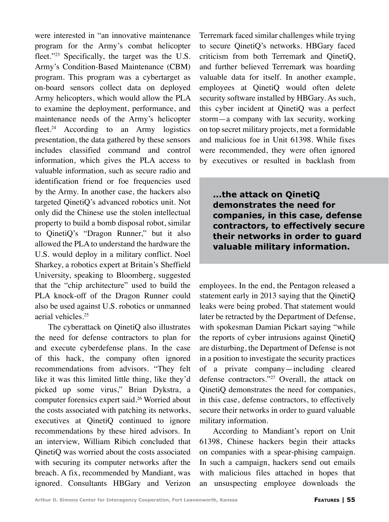were interested in "an innovative maintenance program for the Army's combat helicopter fleet."<sup>23</sup> Specifically, the target was the U.S. Army's Condition-Based Maintenance (CBM) program. This program was a cybertarget as on-board sensors collect data on deployed Army helicopters, which would allow the PLA to examine the deployment, performance, and maintenance needs of the Army's helicopter fleet.<sup>24</sup> According to an Army logistics presentation, the data gathered by these sensors includes classified command and control information, which gives the PLA access to valuable information, such as secure radio and identification friend or foe frequencies used by the Army. In another case, the hackers also targeted QinetiQ's advanced robotics unit. Not only did the Chinese use the stolen intellectual property to build a bomb disposal robot, similar to QinetiQ's "Dragon Runner," but it also allowed the PLA to understand the hardware the U.S. would deploy in a military conflict. Noel Sharkey, a robotics expert at Britain's Sheffield University, speaking to Bloomberg, suggested that the "chip architecture" used to build the PLA knock-off of the Dragon Runner could also be used against U.S. robotics or unmanned aerial vehicles.<sup>25</sup>

The cyberattack on QinetiQ also illustrates the need for defense contractors to plan for and execute cyberdefense plans. In the case of this hack, the company often ignored recommendations from advisors. "They felt like it was this limited little thing, like they'd picked up some virus," Brian Dykstra, a computer forensics expert said.26 Worried about the costs associated with patching its networks, executives at QinetiQ continued to ignore recommendations by these hired advisors. In an interview, William Ribich concluded that QinetiQ was worried about the costs associated with securing its computer networks after the breach. A fix, recommended by Mandiant, was ignored. Consultants HBGary and Verizon Terremark faced similar challenges while trying to secure QinetiQ's networks. HBGary faced criticism from both Terremark and QinetiQ, and further believed Terremark was hoarding valuable data for itself. In another example, employees at QinetiQ would often delete security software installed by HBGary. As such, this cyber incident at QinetiQ was a perfect storm—a company with lax security, working on top secret military projects, met a formidable and malicious foe in Unit 61398. While fixes were recommended, they were often ignored by executives or resulted in backlash from

**...the attack on QinetiQ demonstrates the need for companies, in this case, defense contractors, to effectively secure their networks in order to guard valuable military information.**

employees. In the end, the Pentagon released a statement early in 2013 saying that the QinetiQ leaks were being probed. That statement would later be retracted by the Department of Defense, with spokesman Damian Pickart saying "while the reports of cyber intrusions against QinetiQ are disturbing, the Department of Defense is not in a position to investigate the security practices of a private company—including cleared defense contractors."27 Overall, the attack on QinetiQ demonstrates the need for companies, in this case, defense contractors, to effectively secure their networks in order to guard valuable military information.

According to Mandiant's report on Unit 61398, Chinese hackers begin their attacks on companies with a spear-phising campaign. In such a campaign, hackers send out emails with malicious files attached in hopes that an unsuspecting employee downloads the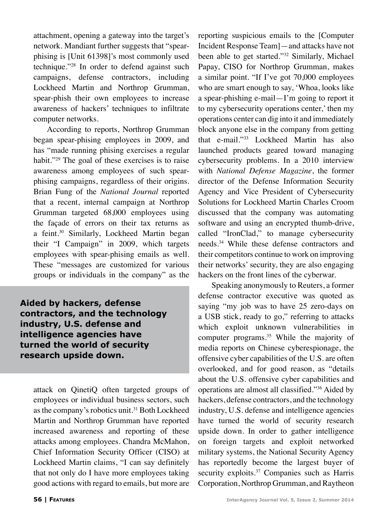attachment, opening a gateway into the target's network. Mandiant further suggests that "spearphising is [Unit 61398]'s most commonly used technique."28 In order to defend against such campaigns, defense contractors, including Lockheed Martin and Northrop Grumman, spear-phish their own employees to increase awareness of hackers' techniques to infiltrate computer networks.

According to reports, Northrop Grumman began spear-phising employees in 2009, and has "made running phising exercises a regular habit."<sup>29</sup> The goal of these exercises is to raise awareness among employees of such spearphising campaigns, regardless of their origins. Brian Fung of the *National Journal* reported that a recent, internal campaign at Northrop Grumman targeted 68,000 employees using the façade of errors on their tax returns as a feint.30 Similarly, Lockheed Martin began their "I Campaign" in 2009, which targets employees with spear-phising emails as well. These "messages are customized for various groups or individuals in the company" as the

**Aided by hackers, defense contractors, and the technology industry, U.S. defense and intelligence agencies have turned the world of security research upside down.**

attack on QinetiQ often targeted groups of employees or individual business sectors, such as the company's robotics unit.<sup>31</sup> Both Lockheed Martin and Northrop Grumman have reported increased awareness and reporting of these attacks among employees. Chandra McMahon, Chief Information Security Officer (CISO) at Lockheed Martin claims, "I can say definitely that not only do I have more employees taking good actions with regard to emails, but more are reporting suspicious emails to the [Computer Incident Response Team]—and attacks have not been able to get started."32 Similarly, Michael Papay, CISO for Northrop Grumman, makes a similar point. "If I've got 70,000 employees who are smart enough to say, 'Whoa, looks like a spear-phishing e-mail—I'm going to report it to my cybersecurity operations center,' then my operations center can dig into it and immediately block anyone else in the company from getting that e-mail."33 Lockheed Martin has also launched products geared toward managing cybersecurity problems. In a 2010 interview with *National Defense Magazine*, the former director of the Defense Information Security Agency and Vice President of Cybersecurity Solutions for Lockheed Martin Charles Croom discussed that the company was automating software and using an encrypted thumb-drive, called "IronClad," to manage cybersecurity needs.34 While these defense contractors and their competitors continue to work on improving their networks' security, they are also engaging hackers on the front lines of the cyberwar.

Speaking anonymously to Reuters, a former defense contractor executive was quoted as saying "my job was to have 25 zero-days on a USB stick, ready to go," referring to attacks which exploit unknown vulnerabilities in computer programs.<sup>35</sup> While the majority of media reports on Chinese cyberespionage, the offensive cyber capabilities of the U.S. are often overlooked, and for good reason, as "details about the U.S. offensive cyber capabilities and operations are almost all classified."36 Aided by hackers, defense contractors, and the technology industry, U.S. defense and intelligence agencies have turned the world of security research upside down. In order to gather intelligence on foreign targets and exploit networked military systems, the National Security Agency has reportedly become the largest buyer of security exploits.<sup>37</sup> Companies such as Harris Corporation, Northrop Grumman, and Raytheon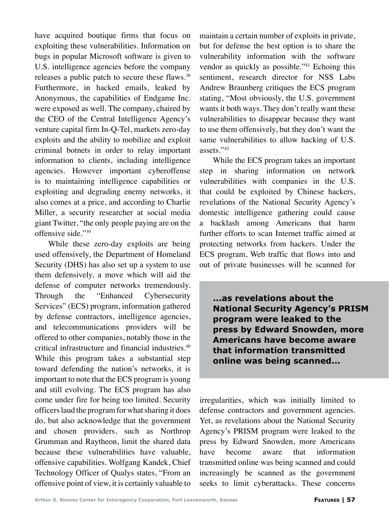have acquired boutique firms that focus on exploiting these vulnerabilities. Information on bugs in popular Microsoft software is given to U.S. intelligence agencies before the company releases a public patch to secure these flaws.<sup>38</sup> Furthermore, in hacked emails, leaked by Anonymous, the capabilities of Endgame Inc. were exposed as well. The company, chaired by the CEO of the Central Intelligence Agency's venture capital firm In-Q-Tel, markets zero-day exploits and the ability to mobilize and exploit criminal botnets in order to relay important information to clients, including intelligence agencies. However important cyberoffense is to maintaining intelligence capabilities or exploiting and degrading enemy networks, it also comes at a price, and according to Charlie Miller, a security researcher at social media giant Twitter, "the only people paying are on the offensive side."39

While these zero-day exploits are being used offensively, the Department of Homeland Security (DHS) has also set up a system to use them defensively, a move which will aid the defense of computer networks tremendously. Through the "Enhanced Cybersecurity Services" (ECS) program, information gathered by defense contractors, intelligence agencies, and telecommunications providers will be offered to other companies, notably those in the critical infrastructure and financial industries.40 While this program takes a substantial step toward defending the nation's networks, it is important to note that the ECS program is young and still evolving. The ECS program has also come under fire for being too limited. Security officers laud the program for what sharing it does do, but also acknowledge that the government and chosen providers, such as Northrop Grumman and Raytheon, limit the shared data because these vulnerabilities have valuable, offensive capabilities. Wolfgang Kandek, Chief Technology Officer of Qualys states, "From an offensive point of view, it is certainly valuable to

maintain a certain number of exploits in private, but for defense the best option is to share the vulnerability information with the software vendor as quickly as possible."<sup>41</sup> Echoing this sentiment, research director for NSS Labs Andrew Braunberg critiques the ECS program stating, "Most obviously, the U.S. government wants it both ways. They don't really want these vulnerabilities to disappear because they want to use them offensively, but they don't want the same vulnerabilities to allow hacking of U.S. assets."42

While the ECS program takes an important step in sharing information on network vulnerabilities with companies in the U.S. that could be exploited by Chinese hackers, revelations of the National Security Agency's domestic intelligence gathering could cause a backlash among Americans that harm further efforts to scan Internet traffic aimed at protecting networks from hackers. Under the ECS program, Web traffic that flows into and out of private businesses will be scanned for

**...as revelations about the National Security Agency's PRISM program were leaked to the press by Edward Snowden, more Americans have become aware that information transmitted online was being scanned...**

irregularities, which was initially limited to defense contractors and government agencies. Yet, as revelations about the National Security Agency's PRISM program were leaked to the press by Edward Snowden, more Americans have become aware that information transmitted online was being scanned and could increasingly be scanned as the government seeks to limit cyberattacks. These concerns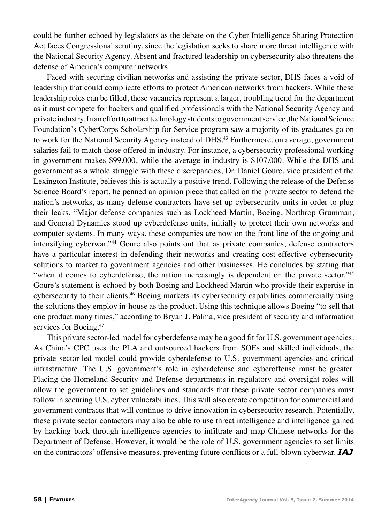could be further echoed by legislators as the debate on the Cyber Intelligence Sharing Protection Act faces Congressional scrutiny, since the legislation seeks to share more threat intelligence with the National Security Agency. Absent and fractured leadership on cybersecurity also threatens the defense of America's computer networks.

Faced with securing civilian networks and assisting the private sector, DHS faces a void of leadership that could complicate efforts to protect American networks from hackers. While these leadership roles can be filled, these vacancies represent a larger, troubling trend for the department as it must compete for hackers and qualified professionals with the National Security Agency and private industry. In an effort to attract technology students to government service, the National Science Foundation's CyberCorps Scholarship for Service program saw a majority of its graduates go on to work for the National Security Agency instead of DHS.<sup>43</sup> Furthermore, on average, government salaries fail to match those offered in industry. For instance, a cybersecurity professional working in government makes \$99,000, while the average in industry is \$107,000. While the DHS and government as a whole struggle with these discrepancies, Dr. Daniel Goure, vice president of the Lexington Institute, believes this is actually a positive trend. Following the release of the Defense Science Board's report, he penned an opinion piece that called on the private sector to defend the nation's networks, as many defense contractors have set up cybersecurity units in order to plug their leaks. "Major defense companies such as Lockheed Martin, Boeing, Northrop Grumman, and General Dynamics stood up cyberdefense units, initially to protect their own networks and computer systems. In many ways, these companies are now on the front line of the ongoing and intensifying cyberwar."44 Goure also points out that as private companies, defense contractors have a particular interest in defending their networks and creating cost-effective cybersecurity solutions to market to government agencies and other businesses. He concludes by stating that "when it comes to cyberdefense, the nation increasingly is dependent on the private sector."45 Goure's statement is echoed by both Boeing and Lockheed Martin who provide their expertise in cybersecurity to their clients.46 Boeing markets its cybersecurity capabilities commercially using the solutions they employ in-house as the product. Using this technique allows Boeing "to sell that one product many times," according to Bryan J. Palma, vice president of security and information services for Boeing.<sup>47</sup>

This private sector-led model for cyberdefense may be a good fit for U.S. government agencies. As China's CPC uses the PLA and outsourced hackers from SOEs and skilled individuals, the private sector-led model could provide cyberdefense to U.S. government agencies and critical infrastructure. The U.S. government's role in cyberdefense and cyberoffense must be greater. Placing the Homeland Security and Defense departments in regulatory and oversight roles will allow the government to set guidelines and standards that these private sector companies must follow in securing U.S. cyber vulnerabilities. This will also create competition for commercial and government contracts that will continue to drive innovation in cybersecurity research. Potentially, these private sector contactors may also be able to use threat intelligence and intelligence gained by hacking back through intelligence agencies to infiltrate and map Chinese networks for the Department of Defense. However, it would be the role of U.S. government agencies to set limits on the contractors' offensive measures, preventing future conflicts or a full-blown cyberwar. *IAJ*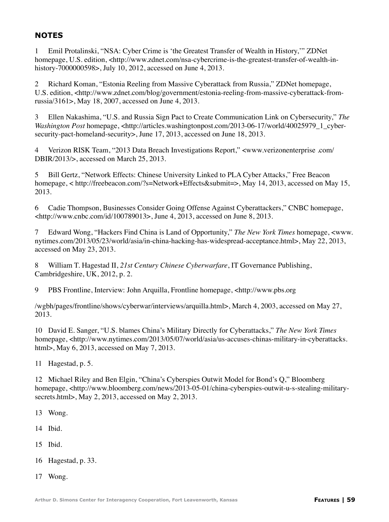## **NOTES**

1 Emil Protalinski, "NSA: Cyber Crime is 'the Greatest Transfer of Wealth in History,'" ZDNet homepage, U.S. edition, <http://www.zdnet.com/nsa-cybercrime-is-the-greatest-transfer-of-wealth-inhistory-7000000598>, July 10, 2012, accessed on June 4, 2013.

2 Richard Koman, "Estonia Reeling from Massive Cyberattack from Russia," ZDNet homepage, U.S. edition, <http://www.zdnet.com/blog/government/estonia-reeling-from-massive-cyberattack-fromrussia/3161>, May 18, 2007, accessed on June 4, 2013.

3 Ellen Nakashima, "U.S. and Russia Sign Pact to Create Communication Link on Cybersecurity," *The Washington Post* homepage, <http://articles.washingtonpost.com/2013-06-17/world/40025979\_1\_cybersecurity-pact-homeland-security>, June 17, 2013, accessed on June 18, 2013.

4 Verizon RISK Team, "2013 Data Breach Investigations Report," <www.verizonenterprise .com/ DBIR/2013/>, accessed on March 25, 2013.

5 Bill Gertz, "Network Effects: Chinese University Linked to PLA Cyber Attacks," Free Beacon homepage, < http://freebeacon.com/?s=Network+Effects&submit=>, May 14, 2013, accessed on May 15, 2013.

6 Cadie Thompson, Businesses Consider Going Offense Against Cyberattackers," CNBC homepage,  $\lt$ http://www.cnbc.com/id/100789013>, June 4, 2013, accessed on June 8, 2013.

7 Edward Wong, "Hackers Find China is Land of Opportunity," *The New York Times* homepage, <www. nytimes.com/2013/05/23/world/asia/in-china-hacking-has-widespread-acceptance.html>, May 22, 2013, accessed on May 23, 2013.

8 William T. Hagestad II, *21st Century Chinese Cyberwarfare*, IT Governance Publishing, Cambridgeshire, UK, 2012, p. 2.

9 PBS Frontline, Interview: John Arquilla, Frontline homepage, <http://www.pbs.org

/wgbh/pages/frontline/shows/cyberwar/interviews/arquilla.html>, March 4, 2003, accessed on May 27, 2013.

10 David E. Sanger, "U.S. blames China's Military Directly for Cyberattacks," *The New York Times* homepage, <http://www.nytimes.com/2013/05/07/world/asia/us-accuses-chinas-military-in-cyberattacks. html>, May 6, 2013, accessed on May 7, 2013.

11 Hagestad, p. 5.

12 Michael Riley and Ben Elgin, "China's Cyberspies Outwit Model for Bond's Q," Bloomberg homepage, <http://www.bloomberg.com/news/2013-05-01/china-cyberspies-outwit-u-s-stealing-militarysecrets.html>, May 2, 2013, accessed on May 2, 2013.

- 13 Wong.
- 14 Ibid.
- 15 Ibid.
- 16 Hagestad, p. 33.
- 17 Wong.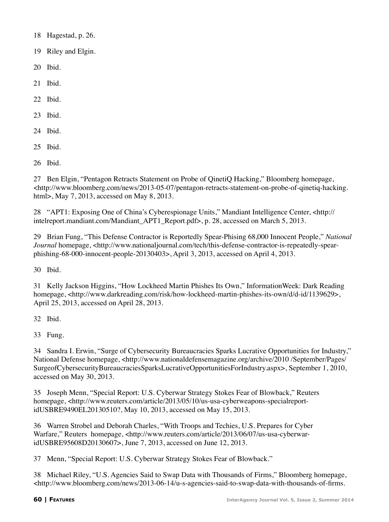- 18 Hagestad, p. 26.
- 19 Riley and Elgin.
- 20 Ibid.
- 21 Ibid.
- 22 Ibid.
- 23 Ibid.
- 24 Ibid.
- 25 Ibid.
- 26 Ibid.

27 Ben Elgin, "Pentagon Retracts Statement on Probe of QinetiQ Hacking," Bloomberg homepage,  $\langle$ http://www.bloomberg.com/news/2013-05-07/pentagon-retracts-statement-on-probe-of-qinetiq-hacking. html>, May 7, 2013, accessed on May 8, 2013.

28 "APT1: Exposing One of China's Cyberespionage Units," Mandiant Intelligence Center, <http:// intelreport.mandiant.com/Mandiant\_APT1\_Report.pdf>, p. 28, accessed on March 5, 2013.

29 Brian Fung, "This Defense Contractor is Reportedly Spear-Phising 68,000 Innocent People," *National Journal* homepage, <http://www.nationaljournal.com/tech/this-defense-contractor-is-repeatedly-spearphishing-68-000-innocent-people-20130403>, April 3, 2013, accessed on April 4, 2013.

30 Ibid.

31 Kelly Jackson Higgins, "How Lockheed Martin Phishes Its Own," InformationWeek: Dark Reading homepage, <http://www.darkreading.com/risk/how-lockheed-martin-phishes-its-own/d/d-id/1139629>, April 25, 2013, accessed on April 28, 2013.

32 Ibid.

33 Fung.

34 Sandra I. Erwin, "Surge of Cybersecurity Bureaucracies Sparks Lucrative Opportunities for Industry," National Defense homepage, <http://www.nationaldefensemagazine.org/archive/2010 /September/Pages/ SurgeofCybersecurityBureaucraciesSparksLucrativeOpportunitiesForIndustry.aspx>, September 1, 2010, accessed on May 30, 2013.

35 Joseph Menn, "Special Report: U.S. Cyberwar Strategy Stokes Fear of Blowback," Reuters homepage, <http://www.reuters.com/article/2013/05/10/us-usa-cyberweapons-specialreportidUSBRE9490EL20130510?, May 10, 2013, accessed on May 15, 2013.

36 Warren Strobel and Deborah Charles, "With Troops and Techies, U.S. Prepares for Cyber Warfare," Reuters homepage, <http://www.reuters.com/article/2013/06/07/us-usa-cyberwaridUSBRE95608D20130607>, June 7, 2013, accessed on June 12, 2013.

37 Menn, "Special Report: U.S. Cyberwar Strategy Stokes Fear of Blowback."

38 Michael Riley, "U.S. Agencies Said to Swap Data with Thousands of Firms," Bloomberg homepage,  $\langle$ http://www.bloomberg.com/news/2013-06-14/u-s-agencies-said-to-swap-data-with-thousands-of-firms.